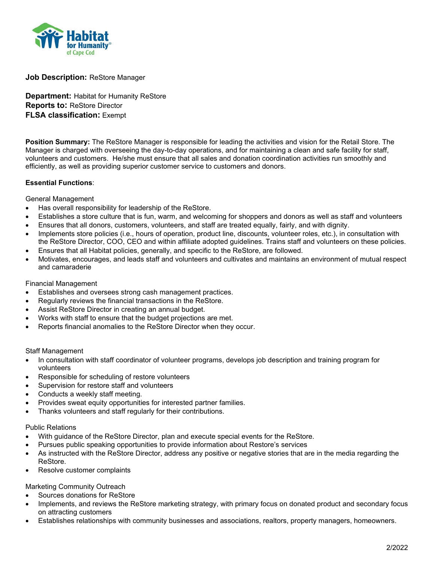

# **Job Description:** ReStore Manager

**Department:** Habitat for Humanity ReStore **Reports to:** ReStore Director **FLSA classification:** Exempt

**Position Summary:** The ReStore Manager is responsible for leading the activities and vision for the Retail Store. The Manager is charged with overseeing the day-to-day operations, and for maintaining a clean and safe facility for staff, volunteers and customers. He/she must ensure that all sales and donation coordination activities run smoothly and efficiently, as well as providing superior customer service to customers and donors.

### **Essential Functions**:

General Management

- Has overall responsibility for leadership of the ReStore.
- Establishes a store culture that is fun, warm, and welcoming for shoppers and donors as well as staff and volunteers
- Ensures that all donors, customers, volunteers, and staff are treated equally, fairly, and with dignity.
- Implements store policies (i.e., hours of operation, product line, discounts, volunteer roles, etc.), in consultation with the ReStore Director, COO, CEO and within affiliate adopted guidelines. Trains staff and volunteers on these policies.
- Ensures that all Habitat policies, generally, and specific to the ReStore, are followed.
- Motivates, encourages, and leads staff and volunteers and cultivates and maintains an environment of mutual respect and camaraderie

#### Financial Management

- Establishes and oversees strong cash management practices.
- Regularly reviews the financial transactions in the ReStore.
- Assist ReStore Director in creating an annual budget.
- Works with staff to ensure that the budget projections are met.
- Reports financial anomalies to the ReStore Director when they occur.

#### Staff Management

- In consultation with staff coordinator of volunteer programs, develops job description and training program for volunteers
- Responsible for scheduling of restore volunteers
- Supervision for restore staff and volunteers
- Conducts a weekly staff meeting.
- Provides sweat equity opportunities for interested partner families.
- Thanks volunteers and staff regularly for their contributions.

#### Public Relations

- With guidance of the ReStore Director, plan and execute special events for the ReStore.
- Pursues public speaking opportunities to provide information about Restore's services
- As instructed with the ReStore Director, address any positive or negative stories that are in the media regarding the ReStore.
- Resolve customer complaints

Marketing Community Outreach

- Sources donations for ReStore
- Implements, and reviews the ReStore marketing strategy, with primary focus on donated product and secondary focus on attracting customers
- Establishes relationships with community businesses and associations, realtors, property managers, homeowners.